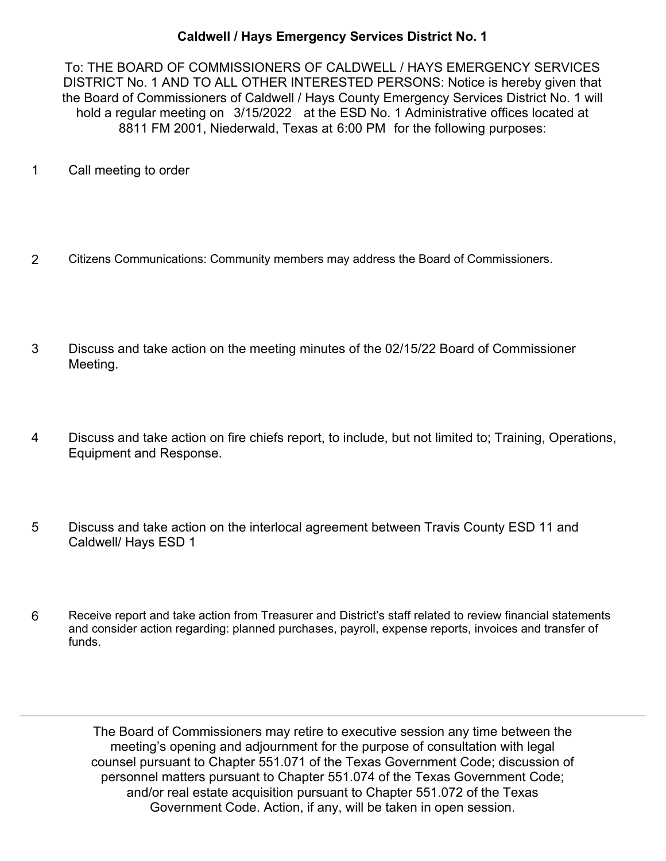## **Caldwell / Hays Emergency Services District No. 1**

To: THE BOARD OF COMMISSIONERS OF CALDWELL / HAYS EMERGENCY SERVICES DISTRICT No. 1 AND TO ALL OTHER INTERESTED PERSONS: Notice is hereby given that the Board of Commissioners of Caldwell / Hays County Emergency Services District No. 1 will hold a regular meeting on 3/15/2022 at the ESD No. 1 Administrative offices located at 8811 FM 2001, Niederwald, Texas at 6:00 PM for the following purposes:

- 1 Call meeting to order
- 2 Citizens Communications: Community members may address the Board of Commissioners.
- Discuss and take action on the meeting minutes of the 02/15/22 Board of Commissioner Meeting. 3
- Discuss and take action on fire chiefs report, to include, but not limited to; Training, Operations, Equipment and Response. 4
- Discuss and take action on the interlocal agreement between Travis County ESD 11 and Caldwell/ Hays ESD 1 5
- Receive report and take action from Treasurer and District's staff related to review financial statements and consider action regarding: planned purchases, payroll, expense reports, invoices and transfer of funds. 6

The Board of Commissioners may retire to executive session any time between the meeting's opening and adjournment for the purpose of consultation with legal counsel pursuant to Chapter 551.071 of the Texas Government Code; discussion of personnel matters pursuant to Chapter 551.074 of the Texas Government Code; and/or real estate acquisition pursuant to Chapter 551.072 of the Texas Government Code. Action, if any, will be taken in open session.